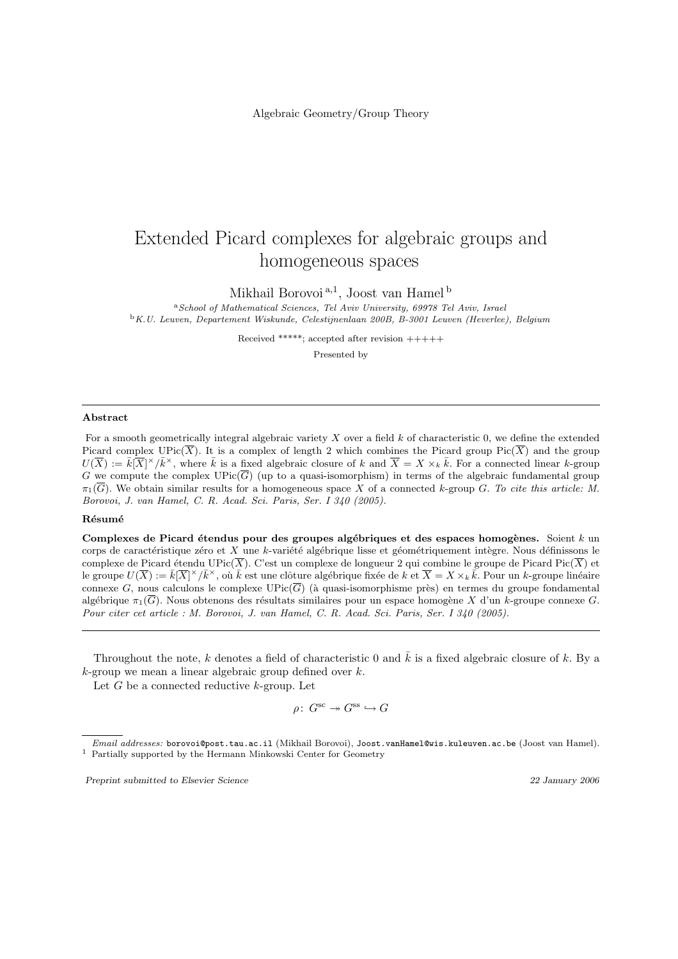Algebraic Geometry/Group Theory

# Extended Picard complexes for algebraic groups and homogeneous spaces

Mikhail Borovoi<sup>a,1</sup>, Joost van Hamel<sup>b</sup>

<sup>a</sup>School of Mathematical Sciences, Tel Aviv University, 69978 Tel Aviv, Israel <sup>b</sup>K.U. Leuven, Departement Wiskunde, Celestijnenlaan 200B, B-3001 Leuven (Heverlee), Belgium

Received \*\*\*\*\*; accepted after revision +++++

Presented by

#### Abstract

For a smooth geometrically integral algebraic variety X over a field  $k$  of characteristic 0, we define the extended Picard complex UPic( $\overline{X}$ ). It is a complex of length 2 which combines the Picard group Pic( $\overline{X}$ ) and the group  $U(\overline{X}) := \overline{k}|\overline{X}|^{\times}/\overline{k}^{\times}$ , where  $\overline{k}$  is a fixed algebraic closure of k and  $\overline{X} = X \times_k \overline{k}$ . For a connected linear k-group G we compute the complex  $\text{UPic}(\overline{G})$  (up to a quasi-isomorphism) in terms of the algebraic fundamental group  $\pi_1(\overline{G})$ . We obtain similar results for a homogeneous space X of a connected k-group G. To cite this article: M. Borovoi, J. van Hamel, C. R. Acad. Sci. Paris, Ser. I 340 (2005).

## **Résumé**

Complexes de Picard étendus pour des groupes algébriques et des espaces homogènes. Soient  $k$  un corps de caractéristique zéro et X une k-variété algébrique lisse et géométriquement intègre. Nous définissons le complexe de Picard étendu UPic( $\overline{X}$ ). C'est un complexe de longueur 2 qui combine le groupe de Picard Pic( $\overline{X}$ ) et le groupe  $U(\overline{X}) := \overline{k}[\overline{X}]^\times/\overline{k}^\times$ , où  $\overline{k}$  est une clôture algébrique fixée de  $k$  et  $\overline{X} = X \times_k \overline{k}$ . Pour un k-groupe linéaire connexe G, nous calculons le complexe  $UPic(\overline{G})$  (à quasi-isomorphisme près) en termes du groupe fondamental algébrique  $\pi_1(\overline{G})$ . Nous obtenons des résultats similaires pour un espace homogène X d'un k-groupe connexe G. Pour citer cet article : M. Borovoi, J. van Hamel, C. R. Acad. Sci. Paris, Ser. I 340 (2005).

Throughout the note, k denotes a field of characteristic 0 and  $\bar{k}$  is a fixed algebraic closure of k. By a  $k$ -group we mean a linear algebraic group defined over  $k$ .

Let  $G$  be a connected reductive  $k$ -group. Let

 $\rho\colon G^{\rm sc} \twoheadrightarrow G^{\rm ss} \hookrightarrow G$ 

Preprint submitted to Elsevier Science 22 January 2006

 $\overline{Email}$   $addresses:$  borovoi@post.tau.ac.il (Mikhail Borovoi), Joost.vanHamel@wis.kuleuven.ac.be (Joost van Hamel). <sup>1</sup> Partially supported by the Hermann Minkowski Center for Geometry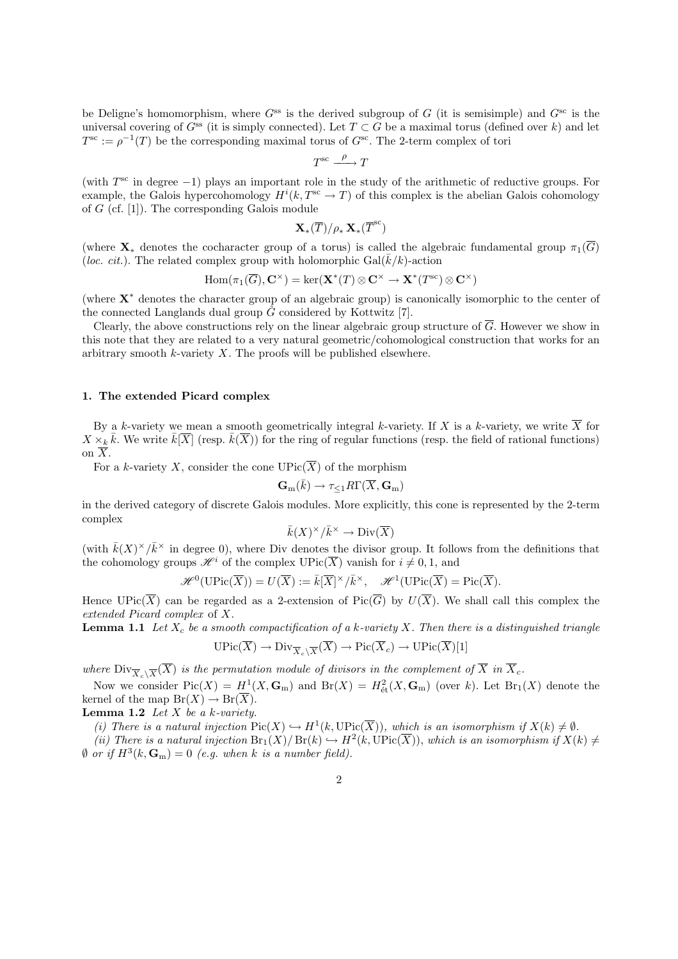be Deligne's homomorphism, where  $G^{ss}$  is the derived subgroup of G (it is semisimple) and  $G^{sc}$  is the universal covering of  $G^{ss}$  (it is simply connected). Let  $T \subset G$  be a maximal torus (defined over k) and let  $T^{\rm sc} := \rho^{-1}(T)$  be the corresponding maximal torus of  $G^{\rm sc}$ . The 2-term complex of tori

$$
T^{\text{sc}} \xrightarrow{\ \rho \ \ } T
$$

(with  $T^{\rm sc}$  in degree -1) plays an important role in the study of the arithmetic of reductive groups. For example, the Galois hypercohomology  $H^{i}(k, T^{\text{sc}} \to T)$  of this complex is the abelian Galois cohomology of  $G$  (cf. [1]). The corresponding Galois module

$$
\mathbf{X}_{*}(\overline{T})/\rho_*\,\mathbf{X}_{*}(\overline{T}^{\text{sc}})
$$

(where  $\mathbf{X}_*$  denotes the cocharacter group of a torus) is called the algebraic fundamental group  $\pi_1(\overline{G})$ (loc. cit.). The related complex group with holomorphic  $Gal(\overline{k}/k)$ -action

$$
\mathrm{Hom}(\pi_1(\overline{G}), \mathbf{C}^{\times}) = \ker(\mathbf{X}^*(T) \otimes \mathbf{C}^{\times} \to \mathbf{X}^*(T^{\mathrm{sc}}) \otimes \mathbf{C}^{\times})
$$

(where  $X^*$  denotes the character group of an algebraic group) is canonically isomorphic to the center of the connected Langlands dual group  $\hat{G}$  considered by Kottwitz [7].

Clearly, the above constructions rely on the linear algebraic group structure of  $\overline{G}$ . However we show in this note that they are related to a very natural geometric/cohomological construction that works for an arbitrary smooth  $k$ -variety  $X$ . The proofs will be published elsewhere.

### 1. The extended Picard complex

By a k-variety we mean a smooth geometrically integral k-variety. If X is a k-variety, we write  $\overline{X}$  for  $X \times_k \bar{k}$ . We write  $\bar{k}[\overline{X}]$  (resp.  $\bar{k}(\overline{X})$ ) for the ring of regular functions (resp. the field of rational functions) on  $\overline{X}$ .

For a k-variety X, consider the cone  $\mathrm{UPic}(\overline{X})$  of the morphism

$$
\mathbf{G}_m(\bar{k}) \to \tau_{\leq 1} R\Gamma(\overline{X}, \mathbf{G}_m)
$$

in the derived category of discrete Galois modules. More explicitly, this cone is represented by the 2-term complex

$$
\bar k(X)^\times/\bar k^\times\to {\rm Div}(\overline{X})
$$

(with  $\bar{k}(X)^{\times}/\bar{k}^{\times}$  in degree 0), where Div denotes the divisor group. It follows from the definitions that the cohomology groups  $\mathscr{H}^i$  of the complex  $\mathrm{UPic}(\overline{X})$  vanish for  $i \neq 0, 1$ , and

$$
\mathscr{H}^0(\mathrm{UPic}(\overline{X})) = U(\overline{X}) := \overline{k}[\overline{X}]^\times/\overline{k}^\times, \quad \mathscr{H}^1(\mathrm{UPic}(\overline{X}) = \mathrm{Pic}(\overline{X}).
$$

Hence  $UPic(\overline{X})$  can be regarded as a 2-extension of  $Pic(\overline{G})$  by  $U(\overline{X})$ . We shall call this complex the extended Picard complex of X.

**Lemma 1.1** Let  $X_c$  be a smooth compactification of a k-variety X. Then there is a distinguished triangle  $\mathrm{UPic}(\overline{X}) \to \mathrm{Div}_{\overline{X}_c \setminus \overline{X}}(\overline{X}) \to \mathrm{Pic}(\overline{X}_c) \to \mathrm{UPic}(\overline{X})[1]$ 

where  $\text{Div}_{\overline{X}_c\backslash\overline{X}}(\overline{X})$  is the permutation module of divisors in the complement of  $\overline{X}$  in  $\overline{X}_c$ .

Now we consider  $Pic(X) = H^1(X, \mathbb{G}_m)$  and  $Br(X) = H^2_{\text{\'et}}(X, \mathbb{G}_m)$  (over k). Let  $Br_1(X)$  denote the kernel of the map  $Br(X) \to Br(\overline{X})$ .

**Lemma 1.2** Let  $X$  be a k-variety.

(i) There is a natural injection  $Pic(X) \hookrightarrow H^1(k, UPic(\overline{X}))$ , which is an isomorphism if  $X(k) \neq \emptyset$ .

(ii) There is a natural injection  $\text{Br}_1(X)/\text{Br}(k) \hookrightarrow H^2(k,\text{UPic}(\overline{X}))$ , which is an isomorphism if  $X(k) \neq$  $\emptyset$  or if  $H^3(k, \mathbf{G}_m) = 0$  (e.g. when k is a number field).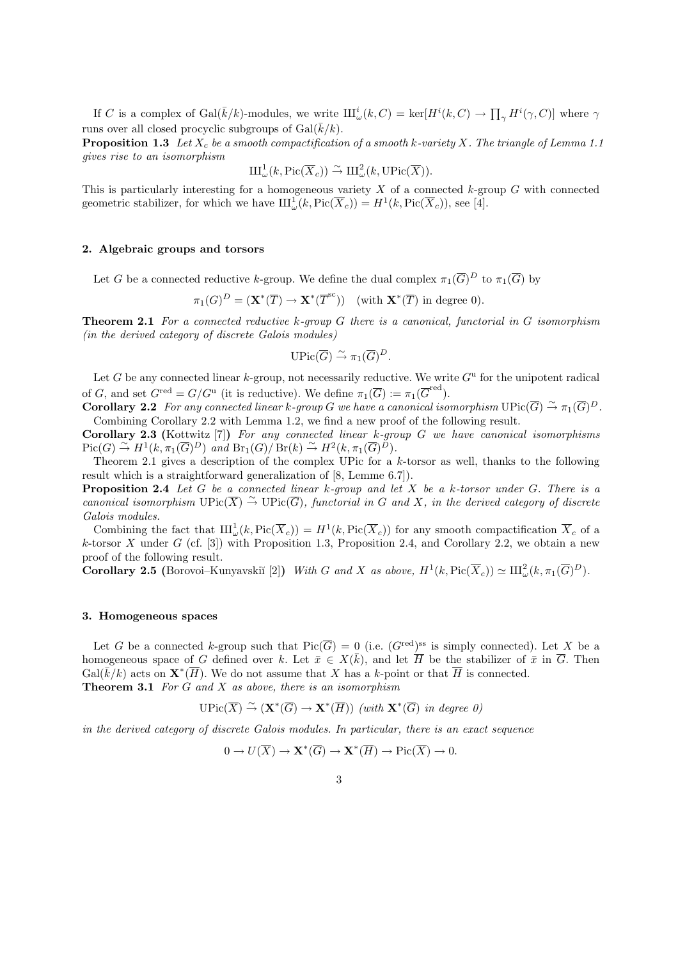If C is a complex of Gal( $\bar{k}/k$ )-modules, we write  $\amalg_{\omega}^i(k, C) = \ker[H^i(k, C) \to \prod_{\gamma} H^i(\gamma, C)]$  where  $\gamma$ runs over all closed procyclic subgroups of Gal $(\bar{k}/k)$ .

**Proposition 1.3** Let  $X_c$  be a smooth compactification of a smooth k-variety X. The triangle of Lemma 1.1 gives rise to an isomorphism

$$
\mathrm{III}^1_{\omega}(k, \mathrm{Pic}(\overline{X}_c)) \overset{\sim}{\to} \mathrm{III}^2_{\omega}(k, \mathrm{UPic}(\overline{X})).
$$

This is particularly interesting for a homogeneous variety  $X$  of a connected  $k$ -group  $G$  with connected geometric stabilizer, for which we have  $\text{III}^1_\omega(k,\text{Pic}(\overline{X}_c)) = H^1(k,\text{Pic}(\overline{X}_c))$ , see [4].

### 2. Algebraic groups and torsors

Let G be a connected reductive k-group. We define the dual complex  $\pi_1(\overline{G})^D$  to  $\pi_1(\overline{G})$  by

$$
\pi_1(G)^D = (\mathbf{X}^*(\overline{T}) \to \mathbf{X}^*(\overline{T}^{\text{sc}})) \text{ (with } \mathbf{X}^*(\overline{T}) \text{ in degree 0}).
$$

**Theorem 2.1** For a connected reductive k-group G there is a canonical, functorial in G isomorphism (in the derived category of discrete Galois modules)

$$
\text{UPic}(\overline{G}) \overset{\sim}{\to} \pi_1(\overline{G})^D.
$$

Let G be any connected linear  $k$ -group, not necessarily reductive. We write  $G^{\mathrm{u}}$  for the unipotent radical of G, and set  $G^{\text{red}} = G/G^{\text{u}}$  (it is reductive). We define  $\pi_1(\overline{G}) := \pi_1(\overline{G}^{\text{red}})$ .

**Corollary 2.2** For any connected linear k-group G we have a canonical isomorphism  $\text{UPic}(\overline{G}) \stackrel{\sim}{\rightarrow} \pi_1(\overline{G})^D$ . Combining Corollary 2.2 with Lemma 1.2, we find a new proof of the following result.

**Corollary 2.3** (Kottwitz [7]) For any connected linear k-group G we have canonical isomorphisms  $Pic(G) \stackrel{\sim}{\to} H^1(k, \pi_1(\overline{G})^D)$  and  $Br_1(G)/Br(k) \stackrel{\sim}{\to} H^2(k, \pi_1(\overline{G})^D)$ .

Theorem 2.1 gives a description of the complex UPic for a k-torsor as well, thanks to the following result which is a straightforward generalization of [8, Lemme 6.7]).

**Proposition 2.4** Let G be a connected linear k-group and let X be a k-torsor under G. There is a canonical isomorphism  $\text{UPic}(\overline{X}) \overset{\sim}{\to} \text{UPic}(\overline{G})$ , functorial in G and X, in the derived category of discrete Galois modules.

Combining the fact that  $\mathrm{III}^1_\omega(k, \mathrm{Pic}(\overline{X}_c)) = H^1(k, \mathrm{Pic}(\overline{X}_c))$  for any smooth compactification  $\overline{X}_c$  of a k-torsor X under G (cf. [3]) with Proposition 1.3, Proposition 2.4, and Corollary 2.2, we obtain a new proof of the following result.

**Corollary 2.5** (Borovoi–Kunyavskiĭ [2]) With G and X as above,  $H^1(k, Pic(\overline{X}_c)) \simeq \mathrm{III}_{\omega}^2(k, \pi_1(\overline{G})^D)$ .

#### 3. Homogeneous spaces

Let G be a connected k-group such that  $Pic(\overline{G}) = 0$  (i.e.  $(G^{\text{red}})^{\text{ss}}$  is simply connected). Let X be a homogeneous space of G defined over k. Let  $\bar{x} \in X(\bar{k})$ , and let  $\overline{H}$  be the stabilizer of  $\bar{x}$  in  $\overline{G}$ . Then  $Gal(\overline{k}/k)$  acts on  $\mathbf{X}^*(\overline{H})$ . We do not assume that X has a k-point or that  $\overline{H}$  is connected. **Theorem 3.1** For G and X as above, there is an isomorphism

$$
\mathrm{UPic}(\overline{X}) \xrightarrow{\sim} (\mathbf{X}^*(\overline{G}) \to \mathbf{X}^*(\overline{H})) \ (\text{with } \mathbf{X}^*(\overline{G}) \ \text{in degree } 0)
$$

in the derived category of discrete Galois modules. In particular, there is an exact sequence

$$
0 \to U(\overline{X}) \to \mathbf{X}^*(\overline{G}) \to \mathbf{X}^*(\overline{H}) \to Pic(\overline{X}) \to 0.
$$